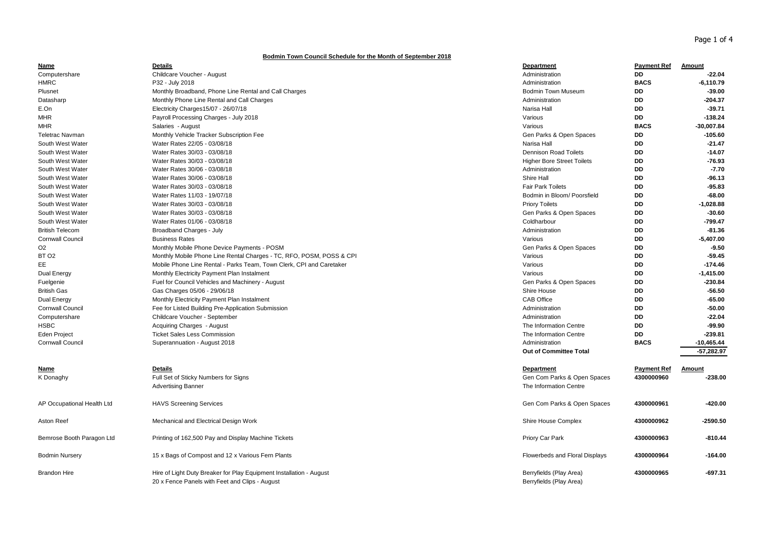## **Bodmin Town Council Schedule for the Month of September 2018**

| Name                       | <b>Details</b>                                                       | Department                        | <b>Payment Ref</b> | Amount       |
|----------------------------|----------------------------------------------------------------------|-----------------------------------|--------------------|--------------|
| Computershare              | Childcare Voucher - August                                           | Administration                    | <b>DD</b>          | $-22.04$     |
| <b>HMRC</b>                | P32 - July 2018                                                      | Administration                    | <b>BACS</b>        | $-6,110.79$  |
| Plusnet                    | Monthly Broadband, Phone Line Rental and Call Charges                | <b>Bodmin Town Museum</b>         | DD                 | $-39.00$     |
| Datasharp                  | Monthly Phone Line Rental and Call Charges                           | Administration                    | DD                 | $-204.37$    |
| E.On                       | Electricity Charges15/07 - 26/07/18                                  | Narisa Hall                       | <b>DD</b>          | $-39.71$     |
| MHR                        | Payroll Processing Charges - July 2018                               | Various                           | DD                 | $-138.24$    |
| MHR                        | Salaries - August                                                    | Various                           | <b>BACS</b>        | $-30,007.84$ |
| <b>Teletrac Navman</b>     | Monthly Vehicle Tracker Subscription Fee                             | Gen Parks & Open Spaces           | DD                 | $-105.60$    |
| South West Water           | Water Rates 22/05 - 03/08/18                                         | Narisa Hall                       | DD                 | $-21.47$     |
| South West Water           | Water Rates 30/03 - 03/08/18                                         | <b>Dennison Road Toilets</b>      | DD                 | $-14.07$     |
| South West Water           | Water Rates 30/03 - 03/08/18                                         | <b>Higher Bore Street Toilets</b> | DD                 | $-76.93$     |
| South West Water           | Water Rates 30/06 - 03/08/18                                         | Administration                    | DD                 | $-7.70$      |
| South West Water           | Water Rates 30/06 - 03/08/18                                         | Shire Hall                        | DD                 | $-96.13$     |
| South West Water           | Water Rates 30/03 - 03/08/18                                         | <b>Fair Park Toilets</b>          | DD                 | $-95.83$     |
| South West Water           | Water Rates 11/03 - 19/07/18                                         | Bodmin in Bloom/ Poorsfield       | <b>DD</b>          | $-68.00$     |
| South West Water           | Water Rates 30/03 - 03/08/18                                         | <b>Priory Toilets</b>             | DD                 | $-1,028.88$  |
| South West Water           | Water Rates 30/03 - 03/08/18                                         | Gen Parks & Open Spaces           | DD                 | $-30.60$     |
| South West Water           | Water Rates 01/06 - 03/08/18                                         | Coldharbour                       | DD                 | $-799.47$    |
| <b>British Telecom</b>     | Broadband Charges - July                                             | Administration                    | DD                 | $-81.36$     |
| <b>Cornwall Council</b>    | <b>Business Rates</b>                                                | Various                           | DD                 | $-5,407.00$  |
| O <sub>2</sub>             | Monthly Mobile Phone Device Payments - POSM                          | Gen Parks & Open Spaces           | DD                 | $-9.50$      |
| BT <sub>O2</sub>           | Monthly Mobile Phone Line Rental Charges - TC, RFO, POSM, POSS & CPI | Various                           | DD                 | $-59.45$     |
| ЕE                         | Mobile Phone Line Rental - Parks Team, Town Clerk, CPI and Caretaker | Various                           | DD                 | $-174.46$    |
| Dual Energy                | Monthly Electricity Payment Plan Instalment                          | Various                           | DD                 | $-1,415.00$  |
| Fuelgenie                  | Fuel for Council Vehicles and Machinery - August                     | Gen Parks & Open Spaces           | DD                 | $-230.84$    |
| <b>British Gas</b>         | Gas Charges 05/06 - 29/06/18                                         | Shire House                       | DD                 | -56.50       |
| Dual Energy                | Monthly Electricity Payment Plan Instalment                          | <b>CAB Office</b>                 | <b>DD</b>          | $-65.00$     |
| <b>Cornwall Council</b>    | Fee for Listed Building Pre-Application Submission                   | Administration                    | <b>DD</b>          | $-50.00$     |
| Computershare              | Childcare Voucher - September                                        | Administration                    | DD                 | $-22.04$     |
| <b>HSBC</b>                | Acquiring Charges - August                                           | The Information Centre            | <b>DD</b>          | -99.90       |
| <b>Eden Project</b>        | <b>Ticket Sales Less Commission</b>                                  | The Information Centre            | DD                 | $-239.81$    |
| <b>Cornwall Council</b>    | Superannuation - August 2018                                         | Administration                    | <b>BACS</b>        | $-10,465.44$ |
|                            |                                                                      | <b>Out of Committee Total</b>     |                    | $-57,282.97$ |
| <u>Name</u>                | Details                                                              | Department                        | <b>Payment Ref</b> | Amount       |
| K Donaghy                  | Full Set of Sticky Numbers for Signs                                 | Gen Com Parks & Open Spaces       | 4300000960         | $-238.00$    |
|                            | <b>Advertising Banner</b>                                            | The Information Centre            |                    |              |
|                            |                                                                      |                                   |                    |              |
| AP Occupational Health Ltd | <b>HAVS Screening Services</b>                                       | Gen Com Parks & Open Spaces       | 4300000961         | $-420.00$    |
|                            |                                                                      |                                   |                    |              |
| Aston Reef                 | Mechanical and Electrical Design Work                                | Shire House Complex               | 4300000962         | $-2590.50$   |
| Bemrose Booth Paragon Ltd  | Printing of 162,500 Pay and Display Machine Tickets                  | Priory Car Park                   | 4300000963         | $-810.44$    |
| <b>Bodmin Nursery</b>      | 15 x Bags of Compost and 12 x Various Fern Plants                    | Flowerbeds and Floral Displays    | 4300000964         | $-164.00$    |
|                            |                                                                      |                                   |                    |              |
| <b>Brandon Hire</b>        | Hire of Light Duty Breaker for Play Equipment Installation - August  | Berryfields (Play Area)           | 4300000965         | $-697.31$    |
|                            | 20 x Fence Panels with Feet and Clips - August                       | Berryfields (Play Area)           |                    |              |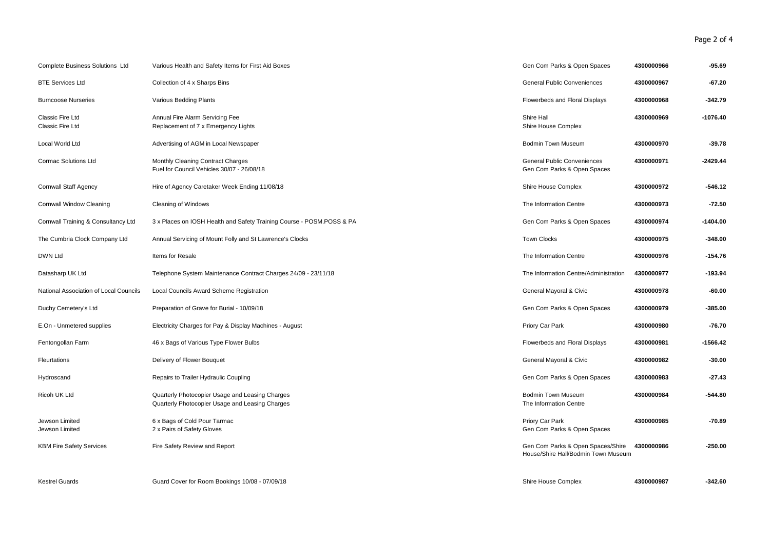## Page 2 of 4

| <b>Complete Business Solutions Ltd</b> | Various Health and Safety Items for First Aid Boxes                                                | Gen Com Parks & Open Spaces                                              | 4300000966 | $-95.69$   |
|----------------------------------------|----------------------------------------------------------------------------------------------------|--------------------------------------------------------------------------|------------|------------|
| <b>BTE Services Ltd</b>                | Collection of 4 x Sharps Bins                                                                      | General Public Conveniences                                              | 4300000967 | $-67.20$   |
| <b>Burncoose Nurseries</b>             | Various Bedding Plants                                                                             | Flowerbeds and Floral Displays                                           | 4300000968 | $-342.79$  |
| Classic Fire Ltd<br>Classic Fire Ltd   | Annual Fire Alarm Servicing Fee<br>Replacement of 7 x Emergency Lights                             | Shire Hall<br>Shire House Complex                                        | 4300000969 | $-1076.40$ |
| Local World Ltd                        | Advertising of AGM in Local Newspaper                                                              | <b>Bodmin Town Museum</b>                                                | 4300000970 | $-39.78$   |
| <b>Cormac Solutions Ltd</b>            | Monthly Cleaning Contract Charges<br>Fuel for Council Vehicles 30/07 - 26/08/18                    | <b>General Public Conveniences</b><br>Gen Com Parks & Open Spaces        | 4300000971 | $-2429.44$ |
| <b>Cornwall Staff Agency</b>           | Hire of Agency Caretaker Week Ending 11/08/18                                                      | Shire House Complex                                                      | 4300000972 | -546.12    |
| Cornwall Window Cleaning               | Cleaning of Windows                                                                                | The Information Centre                                                   | 4300000973 | $-72.50$   |
| Cornwall Training & Consultancy Ltd    | 3 x Places on IOSH Health and Safety Training Course - POSM.POSS & PA                              | Gen Com Parks & Open Spaces                                              | 4300000974 | $-1404.00$ |
| The Cumbria Clock Company Ltd          | Annual Servicing of Mount Folly and St Lawrence's Clocks                                           | <b>Town Clocks</b>                                                       | 4300000975 | -348.00    |
| <b>DWN Ltd</b>                         | Items for Resale                                                                                   | The Information Centre                                                   | 4300000976 | $-154.76$  |
| Datasharp UK Ltd                       | Telephone System Maintenance Contract Charges 24/09 - 23/11/18                                     | The Information Centre/Administration                                    | 4300000977 | $-193.94$  |
| National Association of Local Councils | Local Councils Award Scheme Registration                                                           | General Mayoral & Civic                                                  | 4300000978 | $-60.00$   |
| Duchy Cemetery's Ltd                   | Preparation of Grave for Burial - 10/09/18                                                         | Gen Com Parks & Open Spaces                                              | 4300000979 | $-385.00$  |
| E.On - Unmetered supplies              | Electricity Charges for Pay & Display Machines - August                                            | Priory Car Park                                                          | 4300000980 | $-76.70$   |
| Fentongollan Farm                      | 46 x Bags of Various Type Flower Bulbs                                                             | Flowerbeds and Floral Displays                                           | 4300000981 | $-1566.42$ |
| Fleurtations                           | Delivery of Flower Bouquet                                                                         | General Mayoral & Civic                                                  | 4300000982 | $-30.00$   |
| Hydroscand                             | Repairs to Trailer Hydraulic Coupling                                                              | Gen Com Parks & Open Spaces                                              | 4300000983 | $-27.43$   |
| Ricoh UK Ltd                           | Quarterly Photocopier Usage and Leasing Charges<br>Quarterly Photocopier Usage and Leasing Charges | <b>Bodmin Town Museum</b><br>The Information Centre                      | 4300000984 | -544.80    |
| Jewson Limited<br>Jewson Limited       | 6 x Bags of Cold Pour Tarmac<br>2 x Pairs of Safety Gloves                                         | Priory Car Park<br>Gen Com Parks & Open Spaces                           | 4300000985 | $-70.89$   |
| <b>KBM Fire Safety Services</b>        | Fire Safety Review and Report                                                                      | Gen Com Parks & Open Spaces/Shire<br>House/Shire Hall/Bodmin Town Museum | 4300000986 | $-250.00$  |
| <b>Kestrel Guards</b>                  | Guard Cover for Room Bookings 10/08 - 07/09/18                                                     | Shire House Complex                                                      | 4300000987 | $-342.60$  |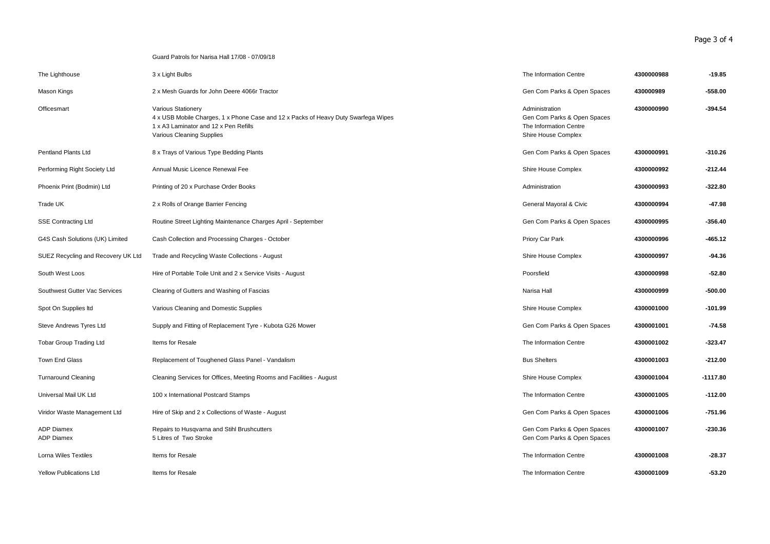Guard Patrols for Narisa Hall 17/08 - 07/09/18

| The Lighthouse                         | 3 x Light Bulbs                                                                                                                                                                | The Information Centre                                                                         | 4300000988 | $-19.85$   |
|----------------------------------------|--------------------------------------------------------------------------------------------------------------------------------------------------------------------------------|------------------------------------------------------------------------------------------------|------------|------------|
| Mason Kings                            | 2 x Mesh Guards for John Deere 4066r Tractor                                                                                                                                   | Gen Com Parks & Open Spaces                                                                    | 430000989  | -558.00    |
| Officesmart                            | Various Stationery<br>4 x USB Mobile Charges, 1 x Phone Case and 12 x Packs of Heavy Duty Swarfega Wipes<br>1 x A3 Laminator and 12 x Pen Refills<br>Various Cleaning Supplies | Administration<br>Gen Com Parks & Open Spaces<br>The Information Centre<br>Shire House Complex | 4300000990 | $-394.54$  |
| <b>Pentland Plants Ltd</b>             | 8 x Trays of Various Type Bedding Plants                                                                                                                                       | Gen Com Parks & Open Spaces                                                                    | 4300000991 | $-310.26$  |
| Performing Right Society Ltd           | Annual Music Licence Renewal Fee                                                                                                                                               | Shire House Complex                                                                            | 4300000992 | $-212.44$  |
| Phoenix Print (Bodmin) Ltd             | Printing of 20 x Purchase Order Books                                                                                                                                          | Administration                                                                                 | 4300000993 | $-322.80$  |
| Trade UK                               | 2 x Rolls of Orange Barrier Fencing                                                                                                                                            | General Mayoral & Civic                                                                        | 4300000994 | $-47.98$   |
| <b>SSE Contracting Ltd</b>             | Routine Street Lighting Maintenance Charges April - September                                                                                                                  | Gen Com Parks & Open Spaces                                                                    | 4300000995 | $-356.40$  |
| G4S Cash Solutions (UK) Limited        | Cash Collection and Processing Charges - October                                                                                                                               | Priory Car Park                                                                                | 4300000996 | $-465.12$  |
| SUEZ Recycling and Recovery UK Ltd     | Trade and Recycling Waste Collections - August                                                                                                                                 | Shire House Complex                                                                            | 4300000997 | $-94.36$   |
| South West Loos                        | Hire of Portable Toile Unit and 2 x Service Visits - August                                                                                                                    | Poorsfield                                                                                     | 4300000998 | $-52.80$   |
| Southwest Gutter Vac Services          | Clearing of Gutters and Washing of Fascias                                                                                                                                     | Narisa Hall                                                                                    | 4300000999 | -500.00    |
| Spot On Supplies Itd                   | Various Cleaning and Domestic Supplies                                                                                                                                         | Shire House Complex                                                                            | 4300001000 | -101.99    |
| Steve Andrews Tyres Ltd                | Supply and Fitting of Replacement Tyre - Kubota G26 Mower                                                                                                                      | Gen Com Parks & Open Spaces                                                                    | 4300001001 | $-74.58$   |
| <b>Tobar Group Trading Ltd</b>         | Items for Resale                                                                                                                                                               | The Information Centre                                                                         | 4300001002 | -323.47    |
| Town End Glass                         | Replacement of Toughened Glass Panel - Vandalism                                                                                                                               | <b>Bus Shelters</b>                                                                            | 4300001003 | $-212.00$  |
| <b>Turnaround Cleaning</b>             | Cleaning Services for Offices, Meeting Rooms and Facilities - August                                                                                                           | Shire House Complex                                                                            | 4300001004 | $-1117.80$ |
| Universal Mail UK Ltd                  | 100 x International Postcard Stamps                                                                                                                                            | The Information Centre                                                                         | 4300001005 | $-112.00$  |
| Viridor Waste Management Ltd           | Hire of Skip and 2 x Collections of Waste - August                                                                                                                             | Gen Com Parks & Open Spaces                                                                    | 4300001006 | $-751.96$  |
| <b>ADP Diamex</b><br><b>ADP Diamex</b> | Repairs to Husqvarna and Stihl Brushcutters<br>5 Litres of Two Stroke                                                                                                          | Gen Com Parks & Open Spaces<br>Gen Com Parks & Open Spaces                                     | 4300001007 | -230.36    |
| <b>Lorna Wiles Textiles</b>            | Items for Resale                                                                                                                                                               | The Information Centre                                                                         | 4300001008 | $-28.37$   |
| <b>Yellow Publications Ltd</b>         | Items for Resale                                                                                                                                                               | The Information Centre                                                                         | 4300001009 | $-53.20$   |

Page 3 of 4